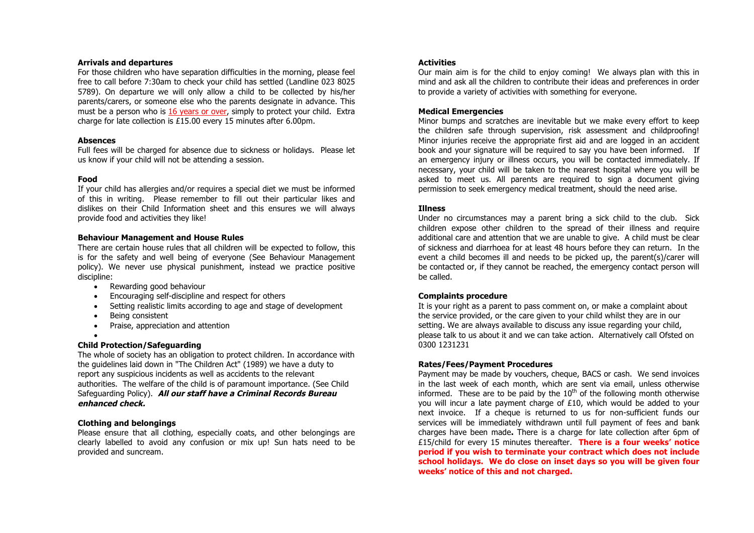#### **Arrivals and departures**

For those children who have separation difficulties in the morning, please feel free to call before 7:30am to check your child has settled (Landline 023 8025 5789). On departure we will only allow a child to be collected by his/her parents/carers, or someone else who the parents designate in advance. This must be a person who is 16 years or over, simply to protect your child. Extra charge for late collection is £15.00 every 15 minutes after 6.00pm.

#### **Absences**

Full fees will be charged for absence due to sickness or holidays. Please let us know if your child will not be attending a session.

# **Food**

If your child has allergies and/or requires a special diet we must be informed of this in writing. Please remember to fill out their particular likes and dislikes on their Child Information sheet and this ensures we will always provide food and activities they like!

## **Behaviour Management and House Rules**

There are certain house rules that all children will be expected to follow, this is for the safety and well being of everyone (See Behaviour Management policy). We never use physical punishment, instead we practice positive discipline:

- Rewarding good behaviour
- Encouraging self-discipline and respect for others
- Setting realistic limits according to age and stage of development
- Being consistent
- Praise, appreciation and attention
- •

# **Child Protection/Safeguarding**

The whole of society has an obligation to protect children. In accordance with the guidelines laid down in "The Children Act" (1989) we have a duty to report any suspicious incidents as well as accidents to the relevant authorities. The welfare of the child is of paramount importance. (See Child Safeguarding Policy). **All our staff have a Criminal Records Bureau enhanced check.**

# **Clothing and belongings**

Please ensure that all clothing, especially coats, and other belongings are clearly labelled to avoid any confusion or mix up! Sun hats need to be provided and suncream.

## **Activities**

Our main aim is for the child to enjoy coming! We always plan with this in mind and ask all the children to contribute their ideas and preferences in order to provide a variety of activities with something for everyone.

## **Medical Emergencies**

Minor bumps and scratches are inevitable but we make every effort to keep the children safe through supervision, risk assessment and childproofing! Minor injuries receive the appropriate first aid and are logged in an accident book and your signature will be required to say you have been informed. If an emergency injury or illness occurs, you will be contacted immediately. If necessary, your child will be taken to the nearest hospital where you will be asked to meet us. All parents are required to sign a document giving permission to seek emergency medical treatment, should the need arise.

## **Illness**

Under no circumstances may a parent bring a sick child to the club. Sick children expose other children to the spread of their illness and require additional care and attention that we are unable to give. A child must be clear of sickness and diarrhoea for at least 48 hours before they can return. In the event a child becomes ill and needs to be picked up, the parent(s)/carer will be contacted or, if they cannot be reached, the emergency contact person will be called.

# **Complaints procedure**

It is your right as a parent to pass comment on, or make a complaint about the service provided, or the care given to your child whilst they are in our setting. We are always available to discuss any issue regarding your child, please talk to us about it and we can take action. Alternatively call Ofsted on 0300 1231231

# **Rates/Fees/Payment Procedures**

Payment may be made by vouchers, cheque, BACS or cash. We send invoices in the last week of each month, which are sent via email, unless otherwise informed. These are to be paid by the  $10<sup>th</sup>$  of the following month otherwise you will incur a late payment charge of £10, which would be added to your next invoice. If a cheque is returned to us for non-sufficient funds our services will be immediately withdrawn until full payment of fees and bank charges have been made**.** There is a charge for late collection after 6pm of £15/child for every 15 minutes thereafter. **There is a four weeks' notice period if you wish to terminate your contract which does not include school holidays. We do close on inset days so you will be given four weeks' notice of this and not charged.**